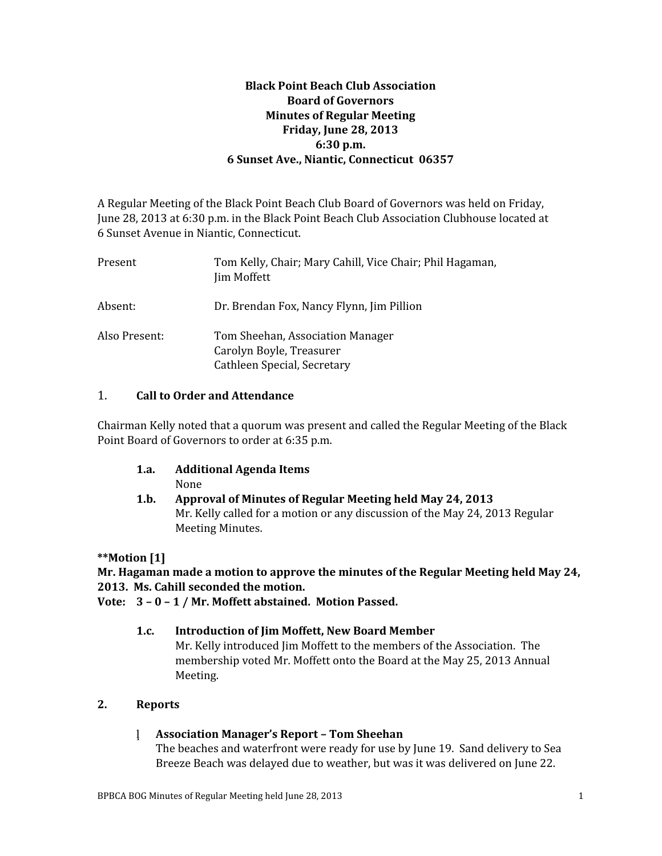## **Black Point Beach Club Association Board of Governors Minutes of Regular Meeting Friday, June 28, 2013 6:30 p.m. 6 Sunset Ave., Niantic, Connecticut 06357**

A Regular Meeting of the Black Point Beach Club Board of Governors was held on Friday, June 28, 2013 at 6:30 p.m. in the Black Point Beach Club Association Clubhouse located at 6 Sunset Avenue in Niantic, Connecticut.

| Present       | Tom Kelly, Chair; Mary Cahill, Vice Chair; Phil Hagaman,<br><b>Jim Moffett</b>              |
|---------------|---------------------------------------------------------------------------------------------|
| Absent:       | Dr. Brendan Fox, Nancy Flynn, Jim Pillion                                                   |
| Also Present: | Tom Sheehan, Association Manager<br>Carolyn Boyle, Treasurer<br>Cathleen Special, Secretary |

### 1. **Call to Order and Attendance**

Chairman Kelly noted that a quorum was present and called the Regular Meeting of the Black Point Board of Governors to order at 6:35 p.m.

- **1.a. Additional Agenda Items** None
- **1.b. Approval of Minutes of Regular Meeting held May 24, 2013** Mr. Kelly called for a motion or any discussion of the May 24, 2013 Regular Meeting Minutes.

## **\*\*Motion [1]**

## **Mr. Hagaman made a motion to approve the minutes of the Regular Meeting held May 24, 2013. Ms. Cahill seconded the motion.**

**Vote: 3 – 0 – 1 / Mr. Moffett abstained. Motion Passed.**

## **1.c. Introduction of Jim Moffett, New Board Member**

Mr. Kelly introduced Jim Moffett to the members of the Association. The membership voted Mr. Moffett onto the Board at the May 25, 2013 Annual Meeting.

## **2. Reports**

## **Association Manager's Report – Tom Sheehan**

The beaches and waterfront were ready for use by June 19. Sand delivery to Sea Breeze Beach was delayed due to weather, but was it was delivered on June 22.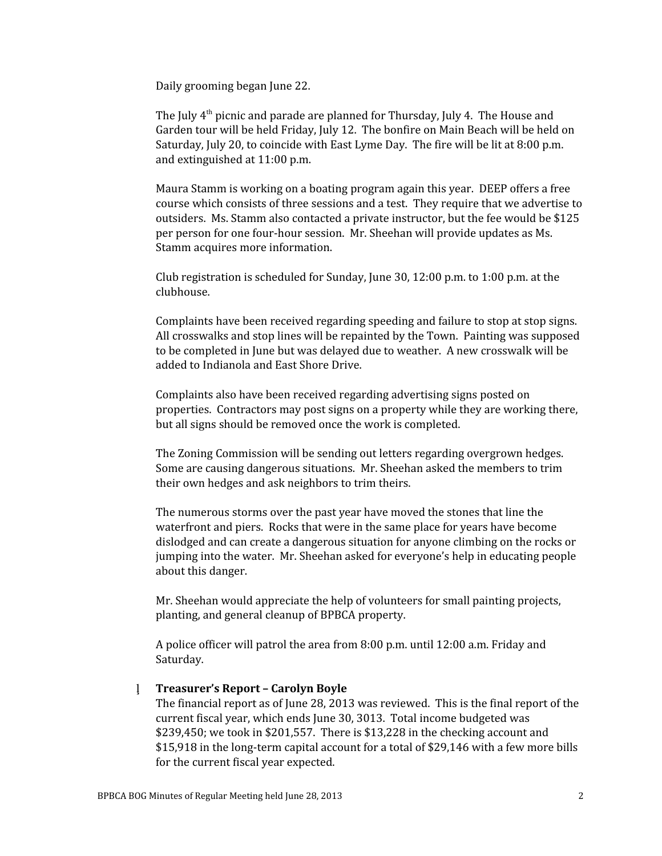Daily grooming began June 22.

The July  $4<sup>th</sup>$  picnic and parade are planned for Thursday, July 4. The House and Garden tour will be held Friday, July 12. The bonfire on Main Beach will be held on Saturday, July 20, to coincide with East Lyme Day. The fire will be lit at 8:00 p.m. and extinguished at 11:00 p.m.

Maura Stamm is working on a boating program again this year. DEEP offers a free course which consists of three sessions and a test. They require that we advertise to outsiders. Ms. Stamm also contacted a private instructor, but the fee would be \$125 per person for one four-hour session. Mr. Sheehan will provide updates as Ms. Stamm acquires more information.

Club registration is scheduled for Sunday, June 30, 12:00 p.m. to 1:00 p.m. at the clubhouse.

Complaints have been received regarding speeding and failure to stop at stop signs. All crosswalks and stop lines will be repainted by the Town. Painting was supposed to be completed in June but was delayed due to weather. A new crosswalk will be added to Indianola and East Shore Drive.

Complaints also have been received regarding advertising signs posted on properties. Contractors may post signs on a property while they are working there, but all signs should be removed once the work is completed.

The Zoning Commission will be sending out letters regarding overgrown hedges. Some are causing dangerous situations. Mr. Sheehan asked the members to trim their own hedges and ask neighbors to trim theirs.

The numerous storms over the past year have moved the stones that line the waterfront and piers. Rocks that were in the same place for years have become dislodged and can create a dangerous situation for anyone climbing on the rocks or jumping into the water. Mr. Sheehan asked for everyone's help in educating people about this danger.

Mr. Sheehan would appreciate the help of volunteers for small painting projects, planting, and general cleanup of BPBCA property.

A police officer will patrol the area from 8:00 p.m. until 12:00 a.m. Friday and Saturday.

#### **Treasurer's Report – Carolyn Boyle**

The financial report as of June 28, 2013 was reviewed. This is the final report of the current fiscal year, which ends June 30, 3013. Total income budgeted was \$239,450; we took in \$201,557. There is \$13,228 in the checking account and \$15,918 in the long-term capital account for a total of \$29,146 with a few more bills for the current fiscal year expected.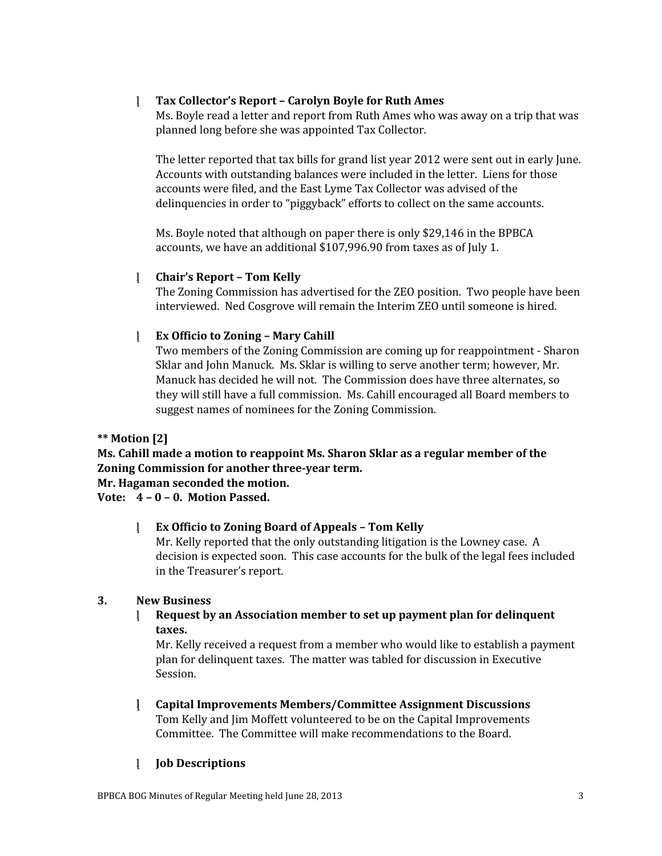## **Tax Collector's Report – Carolyn Boyle for Ruth Ames**

Ms. Boyle read a letter and report from Ruth Ames who was away on a trip that was planned long before she was appointed Tax Collector.

The letter reported that tax bills for grand list year 2012 were sent out in early June. Accounts with outstanding balances were included in the letter. Liens for those accounts were filed, and the East Lyme Tax Collector was advised of the delinquencies in order to "piggyback" efforts to collect on the same accounts.

Ms. Boyle noted that although on paper there is only \$29,146 in the BPBCA accounts, we have an additional \$107,996.90 from taxes as of July 1.

#### **Chair's Report – Tom Kelly**

The Zoning Commission has advertised for the ZEO position. Two people have been interviewed. Ned Cosgrove will remain the Interim ZEO until someone is hired.

### **Ex Officio to Zoning – Mary Cahill**

Two members of the Zoning Commission are coming up for reappointment - Sharon Sklar and John Manuck. Ms. Sklar is willing to serve another term; however, Mr. Manuck has decided he will not. The Commission does have three alternates, so they will still have a full commission. Ms. Cahill encouraged all Board members to suggest names of nominees for the Zoning Commission.

#### **\*\* Motion [2]**

**Ms. Cahill made a motion to reappoint Ms. Sharon Sklar as a regular member of the Zoning Commission for another three-year term.**

**Mr. Hagaman seconded the motion.**

## **Vote: 4 – 0 – 0. Motion Passed.**

#### **Ex Officio to Zoning Board of Appeals – Tom Kelly**

Mr. Kelly reported that the only outstanding litigation is the Lowney case. A decision is expected soon. This case accounts for the bulk of the legal fees included in the Treasurer's report.

#### **3. New Business**

 **Request by an Association member to set up payment plan for delinquent taxes.**

Mr. Kelly received a request from a member who would like to establish a payment plan for delinquent taxes. The matter was tabled for discussion in Executive Session.

 **Capital Improvements Members/Committee Assignment Discussions** Tom Kelly and Jim Moffett volunteered to be on the Capital Improvements Committee. The Committee will make recommendations to the Board.

## **Job Descriptions**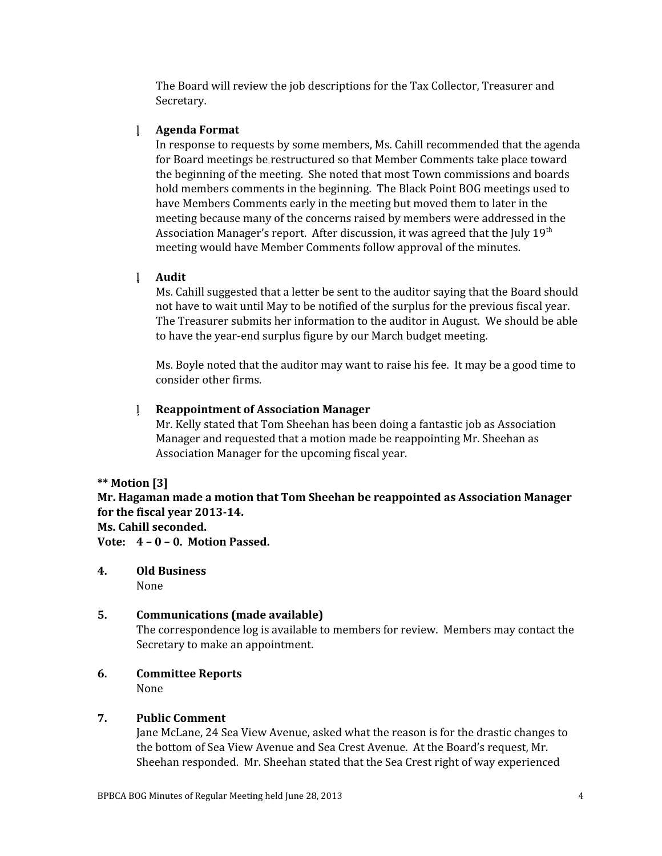The Board will review the job descriptions for the Tax Collector, Treasurer and Secretary.

## **Agenda Format**

In response to requests by some members, Ms. Cahill recommended that the agenda for Board meetings be restructured so that Member Comments take place toward the beginning of the meeting. She noted that most Town commissions and boards hold members comments in the beginning. The Black Point BOG meetings used to have Members Comments early in the meeting but moved them to later in the meeting because many of the concerns raised by members were addressed in the Association Manager's report. After discussion, it was agreed that the July  $19<sup>th</sup>$ meeting would have Member Comments follow approval of the minutes.

### **Audit**

Ms. Cahill suggested that a letter be sent to the auditor saying that the Board should not have to wait until May to be notified of the surplus for the previous fiscal year. The Treasurer submits her information to the auditor in August. We should be able to have the year-end surplus figure by our March budget meeting.

Ms. Boyle noted that the auditor may want to raise his fee. It may be a good time to consider other firms.

## **Reappointment of Association Manager**

Mr. Kelly stated that Tom Sheehan has been doing a fantastic job as Association Manager and requested that a motion made be reappointing Mr. Sheehan as Association Manager for the upcoming fiscal year.

#### **\*\* Motion [3]**

**Mr. Hagaman made a motion that Tom Sheehan be reappointed as Association Manager for the fiscal year 2013-14.**

## **Ms. Cahill seconded.**

**Vote: 4 – 0 – 0. Motion Passed.**

**4. Old Business** None

# **5. Communications (made available)**

The correspondence log is available to members for review. Members may contact the Secretary to make an appointment.

#### **6. Committee Reports** None

## **7. Public Comment**

Jane McLane, 24 Sea View Avenue, asked what the reason is for the drastic changes to the bottom of Sea View Avenue and Sea Crest Avenue. At the Board's request, Mr. Sheehan responded. Mr. Sheehan stated that the Sea Crest right of way experienced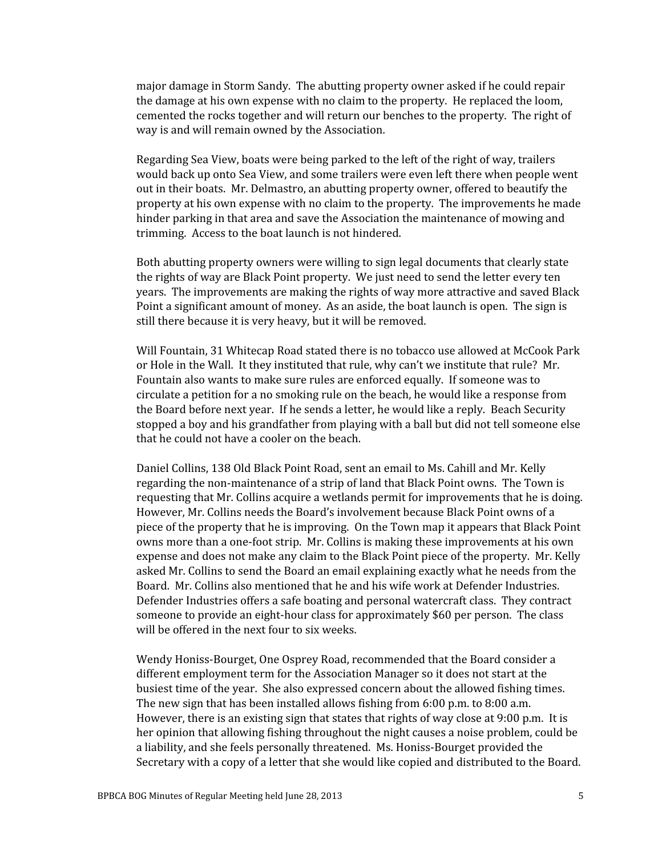major damage in Storm Sandy. The abutting property owner asked if he could repair the damage at his own expense with no claim to the property. He replaced the loom, cemented the rocks together and will return our benches to the property. The right of way is and will remain owned by the Association.

Regarding Sea View, boats were being parked to the left of the right of way, trailers would back up onto Sea View, and some trailers were even left there when people went out in their boats. Mr. Delmastro, an abutting property owner, offered to beautify the property at his own expense with no claim to the property. The improvements he made hinder parking in that area and save the Association the maintenance of mowing and trimming. Access to the boat launch is not hindered.

Both abutting property owners were willing to sign legal documents that clearly state the rights of way are Black Point property. We just need to send the letter every ten years. The improvements are making the rights of way more attractive and saved Black Point a significant amount of money. As an aside, the boat launch is open. The sign is still there because it is very heavy, but it will be removed.

Will Fountain, 31 Whitecap Road stated there is no tobacco use allowed at McCook Park or Hole in the Wall. It they instituted that rule, why can't we institute that rule? Mr. Fountain also wants to make sure rules are enforced equally. If someone was to circulate a petition for a no smoking rule on the beach, he would like a response from the Board before next year. If he sends a letter, he would like a reply. Beach Security stopped a boy and his grandfather from playing with a ball but did not tell someone else that he could not have a cooler on the beach.

Daniel Collins, 138 Old Black Point Road, sent an email to Ms. Cahill and Mr. Kelly regarding the non-maintenance of a strip of land that Black Point owns. The Town is requesting that Mr. Collins acquire a wetlands permit for improvements that he is doing. However, Mr. Collins needs the Board's involvement because Black Point owns of a piece of the property that he is improving. On the Town map it appears that Black Point owns more than a one-foot strip. Mr. Collins is making these improvements at his own expense and does not make any claim to the Black Point piece of the property. Mr. Kelly asked Mr. Collins to send the Board an email explaining exactly what he needs from the Board. Mr. Collins also mentioned that he and his wife work at Defender Industries. Defender Industries offers a safe boating and personal watercraft class. They contract someone to provide an eight-hour class for approximately \$60 per person. The class will be offered in the next four to six weeks.

Wendy Honiss-Bourget, One Osprey Road, recommended that the Board consider a different employment term for the Association Manager so it does not start at the busiest time of the year. She also expressed concern about the allowed fishing times. The new sign that has been installed allows fishing from 6:00 p.m. to 8:00 a.m. However, there is an existing sign that states that rights of way close at 9:00 p.m. It is her opinion that allowing fishing throughout the night causes a noise problem, could be a liability, and she feels personally threatened. Ms. Honiss-Bourget provided the Secretary with a copy of a letter that she would like copied and distributed to the Board.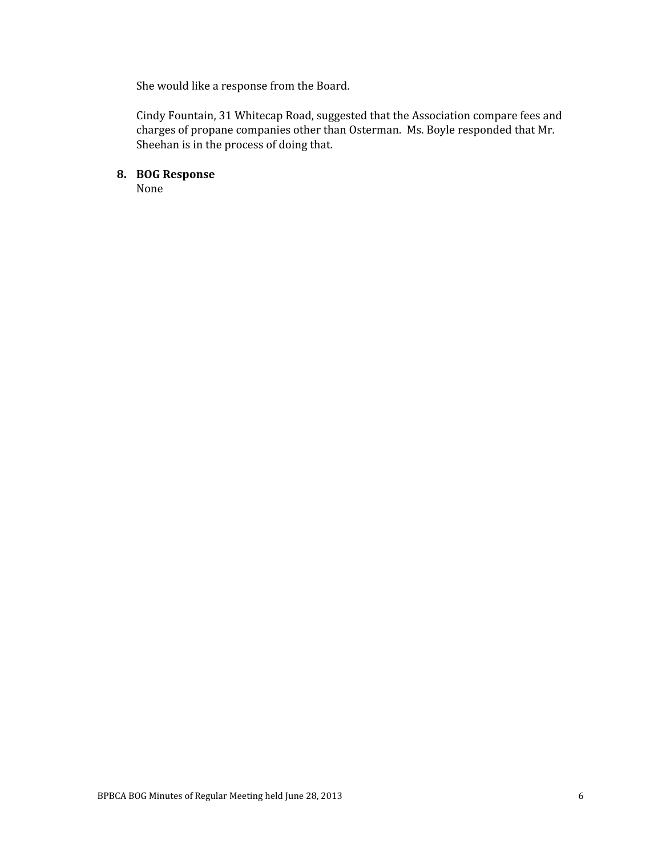She would like a response from the Board.

Cindy Fountain, 31 Whitecap Road, suggested that the Association compare fees and charges of propane companies other than Osterman. Ms. Boyle responded that Mr. Sheehan is in the process of doing that.

## **8. BOG Response**

None